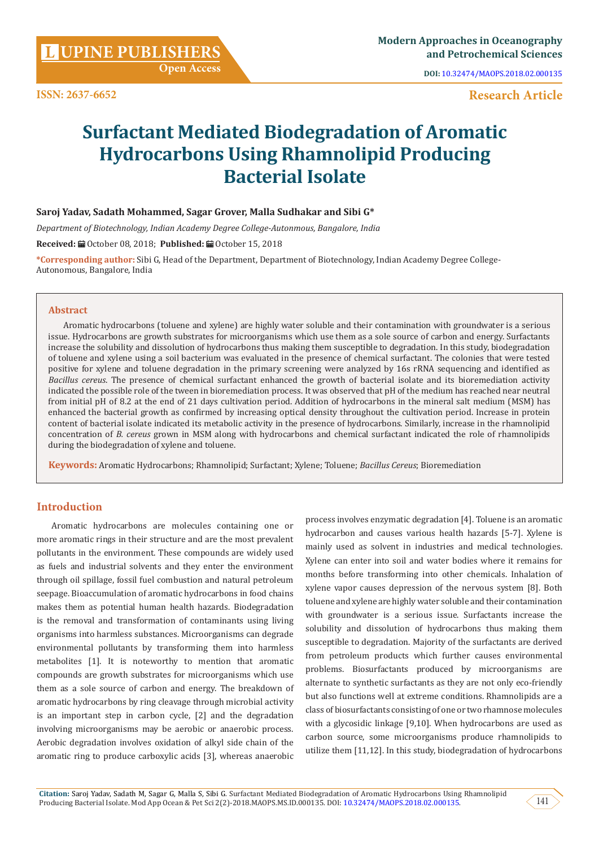**DOI:** [10.32474/MAOPS.2018.02.000135](http://dx.doi.org/10.32474/MAOPS.2018.02.000135)

# **Research Article**

# **Surfactant Mediated Biodegradation of Aromatic Hydrocarbons Using Rhamnolipid Producing Bacterial Isolate**

## **Saroj Yadav, Sadath Mohammed, Sagar Grover, Malla Sudhakar and Sibi G\***

*Department of Biotechnology, Indian Academy Degree College-Autonmous, Bangalore, India*

**Received:** October 08, 2018; **Published:** October 15, 2018

**\*Corresponding author:** Sibi G, Head of the Department, Department of Biotechnology, Indian Academy Degree College-Autonomous, Bangalore, India

#### **Abstract**

Aromatic hydrocarbons (toluene and xylene) are highly water soluble and their contamination with groundwater is a serious issue. Hydrocarbons are growth substrates for microorganisms which use them as a sole source of carbon and energy. Surfactants increase the solubility and dissolution of hydrocarbons thus making them susceptible to degradation. In this study, biodegradation of toluene and xylene using a soil bacterium was evaluated in the presence of chemical surfactant. The colonies that were tested positive for xylene and toluene degradation in the primary screening were analyzed by 16s rRNA sequencing and identified as *Bacillus cereus*. The presence of chemical surfactant enhanced the growth of bacterial isolate and its bioremediation activity indicated the possible role of the tween in bioremediation process. It was observed that pH of the medium has reached near neutral from initial pH of 8.2 at the end of 21 days cultivation period. Addition of hydrocarbons in the mineral salt medium (MSM) has enhanced the bacterial growth as confirmed by increasing optical density throughout the cultivation period. Increase in protein content of bacterial isolate indicated its metabolic activity in the presence of hydrocarbons. Similarly, increase in the rhamnolipid concentration of *B. cereus* grown in MSM along with hydrocarbons and chemical surfactant indicated the role of rhamnolipids during the biodegradation of xylene and toluene.

**Keywords:** Aromatic Hydrocarbons; Rhamnolipid; Surfactant; Xylene; Toluene; *Bacillus Cereus*; Bioremediation

## **Introduction**

Aromatic hydrocarbons are molecules containing one or more aromatic rings in their structure and are the most prevalent pollutants in the environment. These compounds are widely used as fuels and industrial solvents and they enter the environment through oil spillage, fossil fuel combustion and natural petroleum seepage. Bioaccumulation of aromatic hydrocarbons in food chains makes them as potential human health hazards. Biodegradation is the removal and transformation of contaminants using living organisms into harmless substances. Microorganisms can degrade environmental pollutants by transforming them into harmless metabolites [1]. It is noteworthy to mention that aromatic compounds are growth substrates for microorganisms which use them as a sole source of carbon and energy. The breakdown of aromatic hydrocarbons by ring cleavage through microbial activity is an important step in carbon cycle, [2] and the degradation involving microorganisms may be aerobic or anaerobic process. Aerobic degradation involves oxidation of alkyl side chain of the aromatic ring to produce carboxylic acids [3], whereas anaerobic process involves enzymatic degradation [4]. Toluene is an aromatic hydrocarbon and causes various health hazards [5-7]. Xylene is mainly used as solvent in industries and medical technologies. Xylene can enter into soil and water bodies where it remains for months before transforming into other chemicals. Inhalation of xylene vapor causes depression of the nervous system [8]. Both toluene and xylene are highly water soluble and their contamination with groundwater is a serious issue. Surfactants increase the solubility and dissolution of hydrocarbons thus making them susceptible to degradation. Majority of the surfactants are derived from petroleum products which further causes environmental problems. Biosurfactants produced by microorganisms are alternate to synthetic surfactants as they are not only eco-friendly but also functions well at extreme conditions. Rhamnolipids are a class of biosurfactants consisting of one or two rhamnose molecules with a glycosidic linkage [9,10]. When hydrocarbons are used as carbon source, some microorganisms produce rhamnolipids to utilize them [11,12]. In this study, biodegradation of hydrocarbons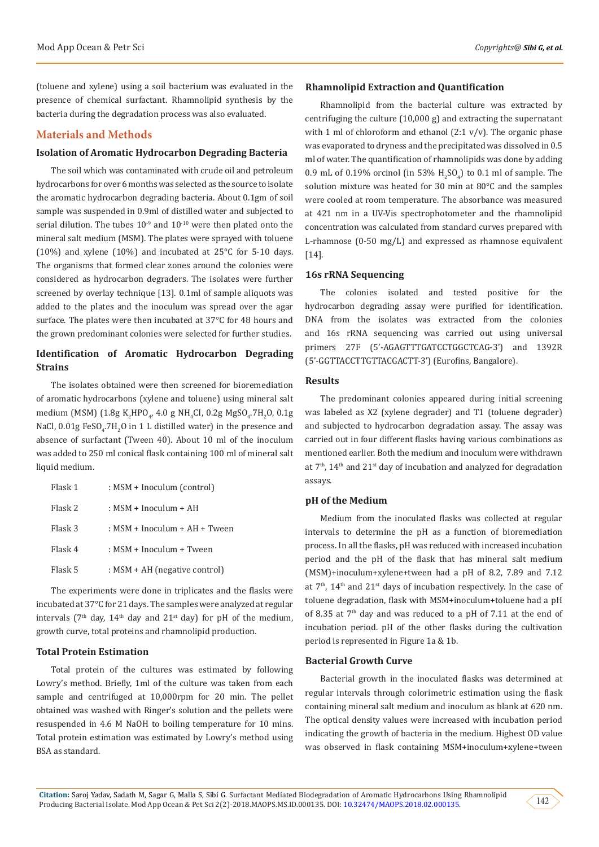(toluene and xylene) using a soil bacterium was evaluated in the presence of chemical surfactant. Rhamnolipid synthesis by the bacteria during the degradation process was also evaluated.

## **Materials and Methods**

## **Isolation of Aromatic Hydrocarbon Degrading Bacteria**

The soil which was contaminated with crude oil and petroleum hydrocarbons for over 6 months was selected as the source to isolate the aromatic hydrocarbon degrading bacteria. About 0.1gm of soil sample was suspended in 0.9ml of distilled water and subjected to serial dilution. The tubes  $10^{-9}$  and  $10^{-10}$  were then plated onto the mineral salt medium (MSM). The plates were sprayed with toluene (10%) and xylene (10%) and incubated at 25°C for 5-10 days. The organisms that formed clear zones around the colonies were considered as hydrocarbon degraders. The isolates were further screened by overlay technique [13]. 0.1ml of sample aliquots was added to the plates and the inoculum was spread over the agar surface. The plates were then incubated at 37°C for 48 hours and the grown predominant colonies were selected for further studies.

## **Identification of Aromatic Hydrocarbon Degrading Strains**

The isolates obtained were then screened for bioremediation of aromatic hydrocarbons (xylene and toluene) using mineral salt medium (MSM) (1.8g K<sub>2</sub>HPO<sub>4</sub>, 4.0 g NH<sub>4</sub>Cl, 0.2g MgSO<sub>4</sub>.7H<sub>2</sub>O, 0.1g NaCl,  $0.01$ g FeSO<sub>4</sub>.7H<sub>2</sub>O in 1 L distilled water) in the presence and absence of surfactant (Tween 40). About 10 ml of the inoculum was added to 250 ml conical flask containing 100 ml of mineral salt liquid medium.

| Flask 1 | : MSM + Inoculum (control)      |
|---------|---------------------------------|
| Flask 2 | : MSM + Inoculum + AH           |
| Flask 3 | $:$ MSM + Inoculum + AH + Tween |
| Flask 4 | : MSM + Inoculum + Tween        |
| Flask 5 | : MSM + AH (negative control)   |

The experiments were done in triplicates and the flasks were incubated at 37°C for 21 days. The samples were analyzed at regular intervals ( $7<sup>th</sup>$  day,  $14<sup>th</sup>$  day and  $21<sup>st</sup>$  day) for pH of the medium, growth curve, total proteins and rhamnolipid production.

#### **Total Protein Estimation**

Total protein of the cultures was estimated by following Lowry's method. Briefly, 1ml of the culture was taken from each sample and centrifuged at 10,000rpm for 20 min. The pellet obtained was washed with Ringer's solution and the pellets were resuspended in 4.6 M NaOH to boiling temperature for 10 mins. Total protein estimation was estimated by Lowry's method using BSA as standard.

#### **Rhamnolipid Extraction and Quantification**

Rhamnolipid from the bacterial culture was extracted by centrifuging the culture (10,000 g) and extracting the supernatant with 1 ml of chloroform and ethanol  $(2:1 \text{ v/v})$ . The organic phase was evaporated to dryness and the precipitated was dissolved in 0.5 ml of water. The quantification of rhamnolipids was done by adding  $0.9$  mL of  $0.19\%$  orcinol (in 53%  $H_2SO_4$ ) to 0.1 ml of sample. The solution mixture was heated for 30 min at 80°C and the samples were cooled at room temperature. The absorbance was measured at 421 nm in a UV-Vis spectrophotometer and the rhamnolipid concentration was calculated from standard curves prepared with L-rhamnose (0-50 mg/L) and expressed as rhamnose equivalent [14].

#### **16s rRNA Sequencing**

The colonies isolated and tested positive for the hydrocarbon degrading assay were purified for identification. DNA from the isolates was extracted from the colonies and 16s rRNA sequencing was carried out using universal primers 27F (5'-AGAGTTTGATCCTGGCTCAG-3') and 1392R (5'-GGTTACCTTGTTACGACTT-3') (Eurofins, Bangalore).

#### **Results**

The predominant colonies appeared during initial screening was labeled as X2 (xylene degrader) and T1 (toluene degrader) and subjected to hydrocarbon degradation assay. The assay was carried out in four different flasks having various combinations as mentioned earlier. Both the medium and inoculum were withdrawn at  $7<sup>th</sup>$ ,  $14<sup>th</sup>$  and  $21<sup>st</sup>$  day of incubation and analyzed for degradation assays.

#### **pH of the Medium**

Medium from the inoculated flasks was collected at regular intervals to determine the pH as a function of bioremediation process. In all the flasks, pH was reduced with increased incubation period and the pH of the flask that has mineral salt medium (MSM)+inoculum+xylene+tween had a pH of 8.2, 7.89 and 7.12 at  $7<sup>th</sup>$ ,  $14<sup>th</sup>$  and  $21<sup>st</sup>$  days of incubation respectively. In the case of toluene degradation, flask with MSM+inoculum+toluene had a pH of 8.35 at  $7<sup>th</sup>$  day and was reduced to a pH of 7.11 at the end of incubation period. pH of the other flasks during the cultivation period is represented in Figure 1a & 1b.

#### **Bacterial Growth Curve**

Bacterial growth in the inoculated flasks was determined at regular intervals through colorimetric estimation using the flask containing mineral salt medium and inoculum as blank at 620 nm. The optical density values were increased with incubation period indicating the growth of bacteria in the medium. Highest OD value was observed in flask containing MSM+inoculum+xylene+tween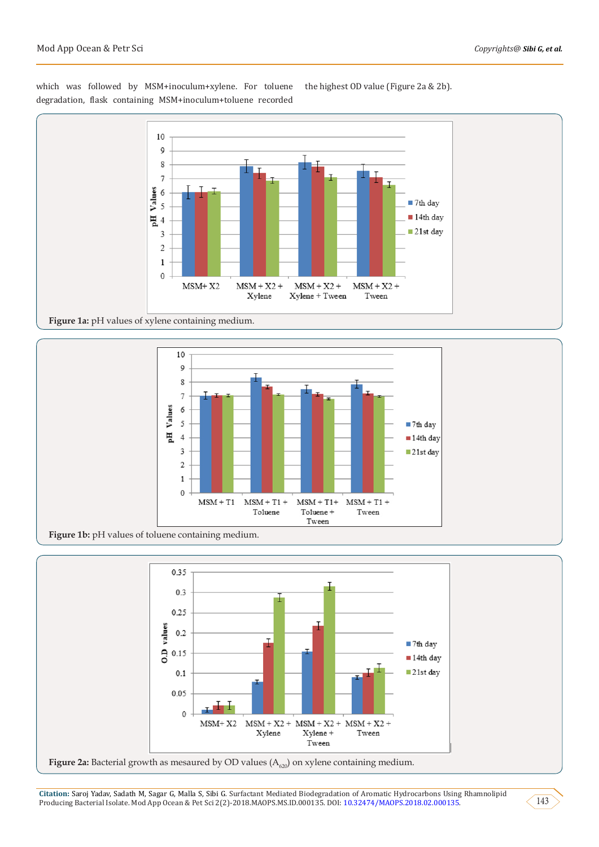which was followed by MSM+inoculum+xylene. For toluene degradation, flask containing MSM+inoculum+toluene recorded



the highest OD value (Figure 2a & 2b).

**Figure 1a:** pH values of xylene containing medium.







**Citation:** Saroj Yadav, Sadath M, Sagar G, Malla S, Sibi G. Surfactant Mediated Biodegradation of Aromatic Hydrocarbons Using Rhamnolipid Producing Bacterial Isolate. Mod App Ocean & Pet Sci 2(2)-2018.MAOPS.MS.ID.000135. DOI: [10.32474/MAOPS.2018.02.000135.](http://dx.doi.org/10.32474/MAOPS.2018.02.000135) 143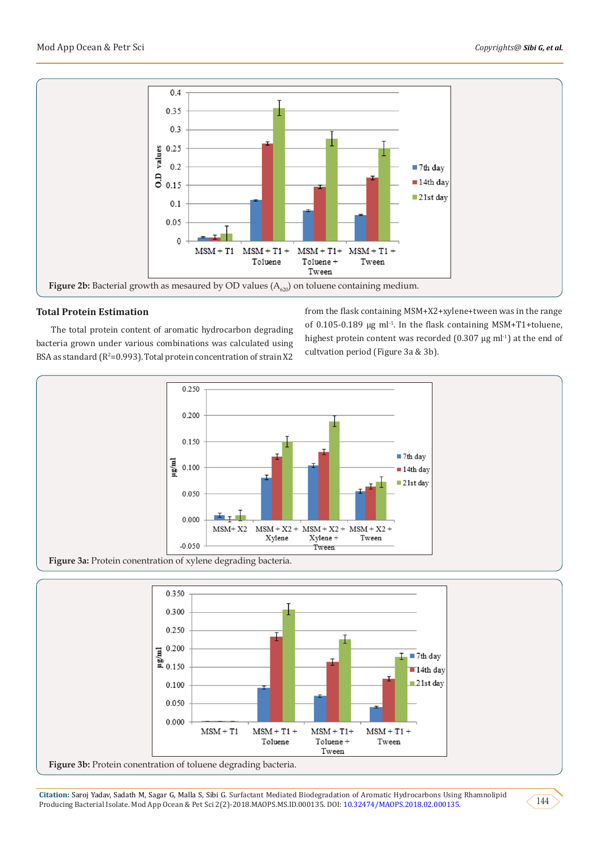

## **Total Protein Estimation**

The total protein content of aromatic hydrocarbon degrading bacteria grown under various combinations was calculated using  $BSA$  as standard ( $R^2$ =0.993). Total protein concentration of strain  $X2$  from the flask containing MSM+X2+xylene+tween was in the range of 0.105-0.189  $\mu$ g ml<sup>-1</sup>. In the flask containing MSM+T1+toluene, highest protein content was recorded  $(0.307 \mu g \text{ ml}^{-1})$  at the end of cultvation period (Figure 3a & 3b).





**Citation:** Saroj Yadav, Sadath M, Sagar G, Malla S, Sibi G. Surfactant Mediated Biodegradation of Aromatic Hydrocarbons Using Rhamnolipid Producing Bacterial Isolate. Mod App Ocean & Pet Sci 2(2)-2018.MAOPS.MS.ID.000135. DOI: [10.32474/MAOPS.2018.02.000135.](http://dx.doi.org/10.32474/MAOPS.2018.02.000135) 144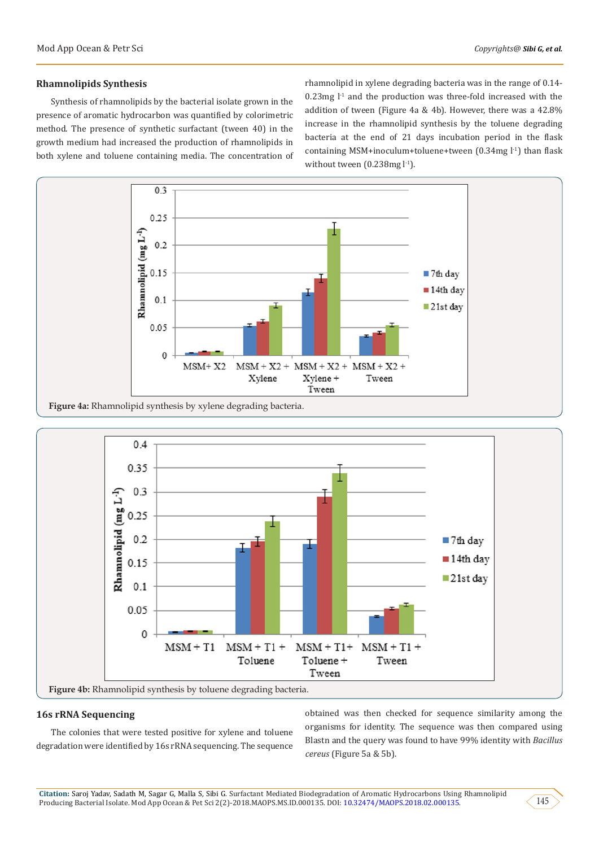#### **Rhamnolipids Synthesis**

Synthesis of rhamnolipids by the bacterial isolate grown in the presence of aromatic hydrocarbon was quantified by colorimetric method. The presence of synthetic surfactant (tween 40) in the growth medium had increased the production of rhamnolipids in both xylene and toluene containing media. The concentration of rhamnolipid in xylene degrading bacteria was in the range of 0.14-  $0.23$ mg  $l<sup>-1</sup>$  and the production was three-fold increased with the addition of tween (Figure 4a & 4b). However, there was a 42.8% increase in the rhamnolipid synthesis by the toluene degrading bacteria at the end of 21 days incubation period in the flask containing MSM+inoculum+toluene+tween  $(0.34mg l<sup>-1</sup>)$  than flask without tween (0.238mg l<sup>-1</sup>).



**Figure 4a:** Rhamnolipid synthesis by xylene degrading bacteria.



## **16s rRNA Sequencing**

The colonies that were tested positive for xylene and toluene degradation were identified by 16s rRNA sequencing. The sequence obtained was then checked for sequence similarity among the organisms for identity. The sequence was then compared using Blastn and the query was found to have 99% identity with *Bacillus cereus* (Figure 5a & 5b).

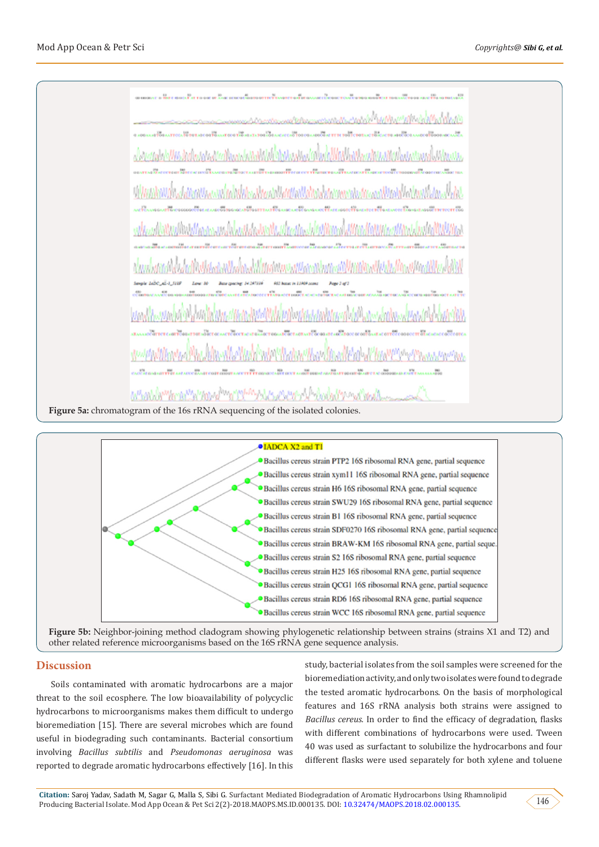Figure 5a: chromatogram of the 16s rRNA sequencing of the isolated colonies.



**Figure 5b:** Neighbor-joining method cladogram showing phylogenetic relationship between strains (strains X1 and T2) and other related reference microorganisms based on the 16S rRNA gene sequence analysis.

## **Discussion**

Soils contaminated with aromatic hydrocarbons are a major threat to the soil ecosphere. The low bioavailability of polycyclic hydrocarbons to microorganisms makes them difficult to undergo bioremediation [15]. There are several microbes which are found useful in biodegrading such contaminants. Bacterial consortium involving *Bacillus subtilis* and *Pseudomonas aeruginosa* was reported to degrade aromatic hydrocarbons effectively [16]. In this

study, bacterial isolates from the soil samples were screened for the bioremediation activity, and only two isolates were found to degrade the tested aromatic hydrocarbons. On the basis of morphological features and 16S rRNA analysis both strains were assigned to *Bacillus cereus.* In order to find the efficacy of degradation, flasks with different combinations of hydrocarbons were used. Tween 40 was used as surfactant to solubilize the hydrocarbons and four different flasks were used separately for both xylene and toluene

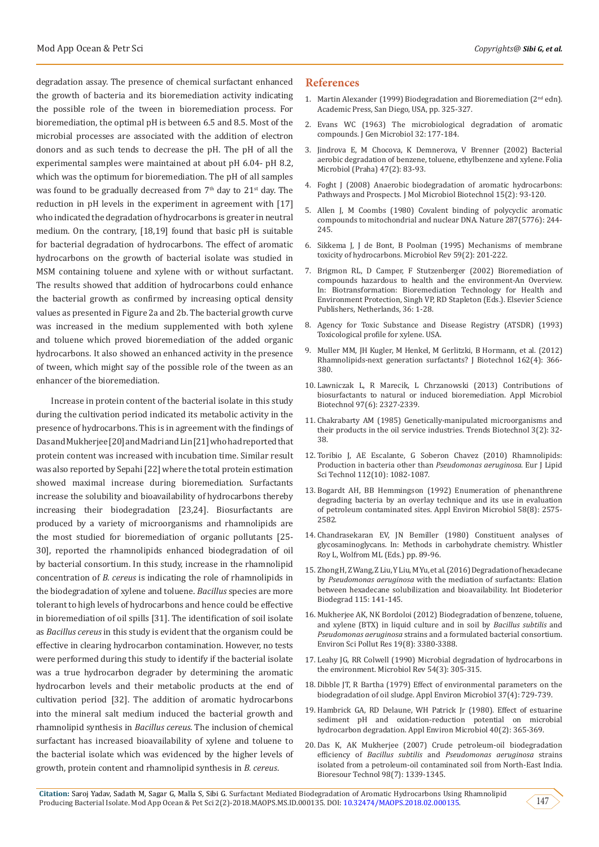degradation assay. The presence of chemical surfactant enhanced the growth of bacteria and its bioremediation activity indicating the possible role of the tween in bioremediation process. For bioremediation, the optimal pH is between 6.5 and 8.5. Most of the microbial processes are associated with the addition of electron donors and as such tends to decrease the pH. The pH of all the experimental samples were maintained at about pH 6.04- pH 8.2, which was the optimum for bioremediation. The pH of all samples was found to be gradually decreased from  $7<sup>th</sup>$  day to  $21<sup>st</sup>$  day. The reduction in pH levels in the experiment in agreement with [17] who indicated the degradation of hydrocarbons is greater in neutral medium. On the contrary, [18,19] found that basic pH is suitable for bacterial degradation of hydrocarbons. The effect of aromatic hydrocarbons on the growth of bacterial isolate was studied in MSM containing toluene and xylene with or without surfactant. The results showed that addition of hydrocarbons could enhance the bacterial growth as confirmed by increasing optical density values as presented in Figure 2a and 2b. The bacterial growth curve was increased in the medium supplemented with both xylene and toluene which proved bioremediation of the added organic hydrocarbons. It also showed an enhanced activity in the presence of tween, which might say of the possible role of the tween as an enhancer of the bioremediation.

Increase in protein content of the bacterial isolate in this study during the cultivation period indicated its metabolic activity in the presence of hydrocarbons. This is in agreement with the findings of Das and Mukherjee [20] and Madri and Lin [21] who had reported that protein content was increased with incubation time. Similar result was also reported by Sepahi [22] where the total protein estimation showed maximal increase during bioremediation. Surfactants increase the solubility and bioavailability of hydrocarbons thereby increasing their biodegradation [23,24]. Biosurfactants are produced by a variety of microorganisms and rhamnolipids are the most studied for bioremediation of organic pollutants [25- 30], reported the rhamnolipids enhanced biodegradation of oil by bacterial consortium. In this study, increase in the rhamnolipid concentration of *B. cereus* is indicating the role of rhamnolipids in the biodegradation of xylene and toluene. *Bacillus* species are more tolerant to high levels of hydrocarbons and hence could be effective in bioremediation of oil spills [31]. The identification of soil isolate as *Bacillus cereus* in this study is evident that the organism could be effective in clearing hydrocarbon contamination. However, no tests were performed during this study to identify if the bacterial isolate was a true hydrocarbon degrader by determining the aromatic hydrocarbon levels and their metabolic products at the end of cultivation period [32]. The addition of aromatic hydrocarbons into the mineral salt medium induced the bacterial growth and rhamnolipid synthesis in *Bacillus cereus*. The inclusion of chemical surfactant has increased bioavailability of xylene and toluene to the bacterial isolate which was evidenced by the higher levels of growth, protein content and rhamnolipid synthesis in *B. cereus*.

#### **References**

- 1. [Martin Alexander \(1999\) Biodegradation and Bioremediation](https://www.elsevier.com/books/biodegradation-and-bioremediation/alexander/978-0-08-091637-8) (2nd edn). [Academic Press, San Diego, USA, pp. 325-327.](https://www.elsevier.com/books/biodegradation-and-bioremediation/alexander/978-0-08-091637-8)
- 2. [Evans WC \(1963\) The microbiological degradation of aromatic](http://www.microbiologyresearch.org/docserver/fulltext/micro/32/2/mic-32-2-177.pdf?expires=1539323329&id=id&accname=guest&checksum=5E7E4EE667C1CFB16157AB17CA93A37C) [compounds. J Gen Microbiol 32: 177-184.](http://www.microbiologyresearch.org/docserver/fulltext/micro/32/2/mic-32-2-177.pdf?expires=1539323329&id=id&accname=guest&checksum=5E7E4EE667C1CFB16157AB17CA93A37C)
- 3. [Jindrova E, M Chocova, K Demnerova, V Brenner \(2002\) Bacterial](https://www.ncbi.nlm.nih.gov/pubmed/12058403) [aerobic degradation of benzene, toluene, ethylbenzene and xylene. Folia](https://www.ncbi.nlm.nih.gov/pubmed/12058403) [Microbiol \(Praha\) 47\(2\): 83-93.](https://www.ncbi.nlm.nih.gov/pubmed/12058403)
- 4. [Foght J \(2008\) Anaerobic biodegradation of aromatic hydrocarbons:](https://www.ncbi.nlm.nih.gov/pubmed/18685265) [Pathways and Prospects. J Mol Microbiol Biotechnol 15\(2\): 93-120.](https://www.ncbi.nlm.nih.gov/pubmed/18685265)
- 5. [Allen J, M Coombs \(1980\) Covalent binding of polycyclic aromatic](https://www.ncbi.nlm.nih.gov/pubmed/7432460) [compounds to mitochondrial and nuclear DNA. Nature 287\(5776\): 244-](https://www.ncbi.nlm.nih.gov/pubmed/7432460) [245.](https://www.ncbi.nlm.nih.gov/pubmed/7432460)
- 6. [Sikkema J, J de Bont, B Poolman \(1995\) Mechanisms of membrane](https://www.ncbi.nlm.nih.gov/pubmed/7603409) [toxicity of hydrocarbons. Microbiol Rev 59\(2\): 201-222.](https://www.ncbi.nlm.nih.gov/pubmed/7603409)
- 7. [Brigmon RL, D Camper, F Stutzenberger \(2002\)](https://www.sciencedirect.com/science/article/pii/S0079635202800054) Bioremediation of [compounds hazardous to health and the environment-An Overview.](https://www.sciencedirect.com/science/article/pii/S0079635202800054) [In: Biotransformation: Bioremediation Technology for Health and](https://www.sciencedirect.com/science/article/pii/S0079635202800054) [Environment Protection, Singh VP, RD Stapleton \(Eds.\). Elsevier Science](https://www.sciencedirect.com/science/article/pii/S0079635202800054) [Publishers, Netherlands, 36: 1-28.](https://www.sciencedirect.com/science/article/pii/S0079635202800054)
- 8. [Agency for Toxic Substance and Disease Registry \(ATSDR\)](https://www.atsdr.cdc.gov/toxprofiles/tp.asp?id=296&tid=53) (1993) [Toxicological profile for xylene. USA.](https://www.atsdr.cdc.gov/toxprofiles/tp.asp?id=296&tid=53)
- 9. [Muller MM, JH Kugler, M Henkel, M Gerlitzki, B Hormann, et al. \(2012\)](https://www.ncbi.nlm.nih.gov/pubmed/22728388) [Rhamnolipids-next generation surfactants? J Biotechnol 162\(4\): 366-](https://www.ncbi.nlm.nih.gov/pubmed/22728388) [380.](https://www.ncbi.nlm.nih.gov/pubmed/22728388)
- 10. [Lawniczak L, R Marecik, L Chrzanowski \(2013\) Contributions of](https://www.ncbi.nlm.nih.gov/pubmed/23400445) [biosurfactants to natural or induced bioremediation. Appl Microbiol](https://www.ncbi.nlm.nih.gov/pubmed/23400445) [Biotechnol 97\(6\): 2327-2339.](https://www.ncbi.nlm.nih.gov/pubmed/23400445)
- 11. [Chakrabarty AM \(1985\) Genetically-manipulated microorganisms and](https://www.sciencedirect.com/science/article/pii/0167779985900563) [their products in the oil service industries. Trends Biotechnol 3\(2\): 32-](https://www.sciencedirect.com/science/article/pii/0167779985900563) [38.](https://www.sciencedirect.com/science/article/pii/0167779985900563)
- 12. [Toribio J, AE Escalante, G Soberon Chavez \(2010\) Rhamnolipids:](https://onlinelibrary.wiley.com/doi/abs/10.1002/ejlt.200900256) [Production in bacteria other than](https://onlinelibrary.wiley.com/doi/abs/10.1002/ejlt.200900256) *Pseudomonas aeruginosa*. Eur J Lipid [Sci Technol 112\(10\): 1082-1087.](https://onlinelibrary.wiley.com/doi/abs/10.1002/ejlt.200900256)
- 13. [Bogardt AH, BB Hemmingson \(1992\) Enumeration of phenanthrene](https://www.ncbi.nlm.nih.gov/pmc/articles/PMC195824/) [degrading bacteria by an overlay technique and its use in evaluation](https://www.ncbi.nlm.nih.gov/pmc/articles/PMC195824/) [of petroleum contaminated sites. Appl Environ Microbiol 58\(8\): 2575-](https://www.ncbi.nlm.nih.gov/pmc/articles/PMC195824/) [2582.](https://www.ncbi.nlm.nih.gov/pmc/articles/PMC195824/)
- 14. Chandrasekaran EV, JN Bemiller (1980) Constituent analyses of glycosaminoglycans. In: Methods in carbohydrate chemistry. Whistler Roy L, Wolfrom ML (Eds.) pp. 89-96.
- 15. [Zhong H, Z Wang, Z Liu, Y Liu, M Yu, et al. \(2016\) Degradation of hexadecane](https://www.sciencedirect.com/science/article/pii/S0964830516302621) by *Pseudomonas aeruginosa* [with the mediation of surfactants: Elation](https://www.sciencedirect.com/science/article/pii/S0964830516302621) [between hexadecane solubilization and bioavailability. Int Biodeterior](https://www.sciencedirect.com/science/article/pii/S0964830516302621) [Biodegrad 115: 141-145.](https://www.sciencedirect.com/science/article/pii/S0964830516302621)
- 16. [Mukherjee AK, NK Bordoloi \(2012\) Biodegradation of benzene, toluene,](https://www.ncbi.nlm.nih.gov/pubmed/22528987) [and xylene \(BTX\) in liquid culture and in soil by](https://www.ncbi.nlm.nih.gov/pubmed/22528987) *Bacillus subtilis* and *Pseudomonas aeruginosa* [strains and a formulated bacterial consortium.](https://www.ncbi.nlm.nih.gov/pubmed/22528987) [Environ Sci Pollut Res 19\(8\): 3380-3388.](https://www.ncbi.nlm.nih.gov/pubmed/22528987)
- 17. [Leahy JG, RR Colwell \(1990\) Microbial degradation of hydrocarbons in](https://www.ncbi.nlm.nih.gov/pubmed/2215423) [the environment. Microbiol Rev 54\(3\): 305-315.](https://www.ncbi.nlm.nih.gov/pubmed/2215423)
- 18. [Dibble JT, R Bartha \(1979\) Effect of environmental parameters on the](https://www.ncbi.nlm.nih.gov/pmc/articles/PMC243289/) [biodegradation of oil sludge. Appl Environ Microbiol 37\(4\): 729-739.](https://www.ncbi.nlm.nih.gov/pmc/articles/PMC243289/)
- 19. [Hambrick GA, RD Delaune, WH Patrick Jr \(1980\). Effect of estuarine](https://www.ncbi.nlm.nih.gov/pmc/articles/PMC291582/) [sediment pH and oxidation-reduction potential on microbial](https://www.ncbi.nlm.nih.gov/pmc/articles/PMC291582/) [hydrocarbon degradation. Appl Environ Microbiol 40\(2\): 365-369.](https://www.ncbi.nlm.nih.gov/pmc/articles/PMC291582/)
- 20. [Das K, AK Mukherjee \(2007\) Crude petroleum-oil biodegradation](https://www.ncbi.nlm.nih.gov/pubmed/16828284) efficiency of *Bacillus subtilis* and *[Pseudomonas aeruginosa](https://www.ncbi.nlm.nih.gov/pubmed/16828284)* strains [isolated from a petroleum-oil contaminated soil from North-East India.](https://www.ncbi.nlm.nih.gov/pubmed/16828284) [Bioresour Technol 98\(7\): 1339-1345.](https://www.ncbi.nlm.nih.gov/pubmed/16828284)